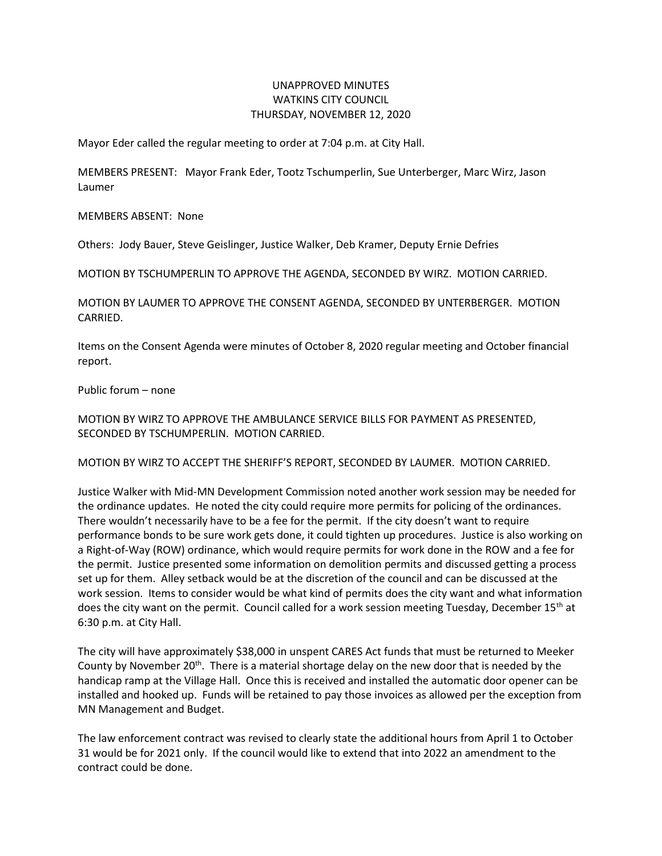## UNAPPROVED MINUTES WATKINS CITY COUNCIL THURSDAY, NOVEMBER 12, 2020

Mayor Eder called the regular meeting to order at 7:04 p.m. at City Hall.

MEMBERS PRESENT: Mayor Frank Eder, Tootz Tschumperlin, Sue Unterberger, Marc Wirz, Jason Laumer

MEMBERS ABSENT: None

Others: Jody Bauer, Steve Geislinger, Justice Walker, Deb Kramer, Deputy Ernie Defries

MOTION BY TSCHUMPERLIN TO APPROVE THE AGENDA, SECONDED BY WIRZ. MOTION CARRIED.

MOTION BY LAUMER TO APPROVE THE CONSENT AGENDA, SECONDED BY UNTERBERGER. MOTION CARRIED.

Items on the Consent Agenda were minutes of October 8, 2020 regular meeting and October financial report.

Public forum – none

MOTION BY WIRZ TO APPROVE THE AMBULANCE SERVICE BILLS FOR PAYMENT AS PRESENTED, SECONDED BY TSCHUMPERLIN. MOTION CARRIED.

MOTION BY WIRZ TO ACCEPT THE SHERIFF'S REPORT, SECONDED BY LAUMER. MOTION CARRIED.

Justice Walker with Mid-MN Development Commission noted another work session may be needed for the ordinance updates. He noted the city could require more permits for policing of the ordinances. There wouldn't necessarily have to be a fee for the permit. If the city doesn't want to require performance bonds to be sure work gets done, it could tighten up procedures. Justice is also working on a Right-of-Way (ROW) ordinance, which would require permits for work done in the ROW and a fee for the permit. Justice presented some information on demolition permits and discussed getting a process set up for them. Alley setback would be at the discretion of the council and can be discussed at the work session. Items to consider would be what kind of permits does the city want and what information does the city want on the permit. Council called for a work session meeting Tuesday, December 15<sup>th</sup> at 6:30 p.m. at City Hall.

The city will have approximately \$38,000 in unspent CARES Act funds that must be returned to Meeker County by November  $20<sup>th</sup>$ . There is a material shortage delay on the new door that is needed by the handicap ramp at the Village Hall. Once this is received and installed the automatic door opener can be installed and hooked up. Funds will be retained to pay those invoices as allowed per the exception from MN Management and Budget.

The law enforcement contract was revised to clearly state the additional hours from April 1 to October 31 would be for 2021 only. If the council would like to extend that into 2022 an amendment to the contract could be done.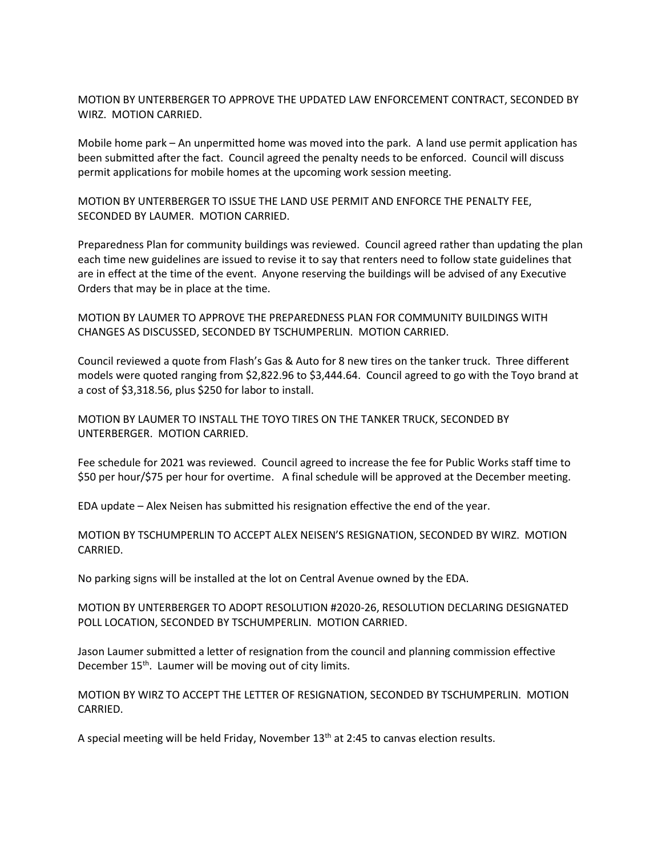MOTION BY UNTERBERGER TO APPROVE THE UPDATED LAW ENFORCEMENT CONTRACT, SECONDED BY WIRZ. MOTION CARRIED.

Mobile home park – An unpermitted home was moved into the park. A land use permit application has been submitted after the fact. Council agreed the penalty needs to be enforced. Council will discuss permit applications for mobile homes at the upcoming work session meeting.

MOTION BY UNTERBERGER TO ISSUE THE LAND USE PERMIT AND ENFORCE THE PENALTY FEE, SECONDED BY LAUMER. MOTION CARRIED.

Preparedness Plan for community buildings was reviewed. Council agreed rather than updating the plan each time new guidelines are issued to revise it to say that renters need to follow state guidelines that are in effect at the time of the event. Anyone reserving the buildings will be advised of any Executive Orders that may be in place at the time.

MOTION BY LAUMER TO APPROVE THE PREPAREDNESS PLAN FOR COMMUNITY BUILDINGS WITH CHANGES AS DISCUSSED, SECONDED BY TSCHUMPERLIN. MOTION CARRIED.

Council reviewed a quote from Flash's Gas & Auto for 8 new tires on the tanker truck. Three different models were quoted ranging from \$2,822.96 to \$3,444.64. Council agreed to go with the Toyo brand at a cost of \$3,318.56, plus \$250 for labor to install.

MOTION BY LAUMER TO INSTALL THE TOYO TIRES ON THE TANKER TRUCK, SECONDED BY UNTERBERGER. MOTION CARRIED.

Fee schedule for 2021 was reviewed. Council agreed to increase the fee for Public Works staff time to \$50 per hour/\$75 per hour for overtime. A final schedule will be approved at the December meeting.

EDA update – Alex Neisen has submitted his resignation effective the end of the year.

MOTION BY TSCHUMPERLIN TO ACCEPT ALEX NEISEN'S RESIGNATION, SECONDED BY WIRZ. MOTION CARRIED.

No parking signs will be installed at the lot on Central Avenue owned by the EDA.

MOTION BY UNTERBERGER TO ADOPT RESOLUTION #2020-26, RESOLUTION DECLARING DESIGNATED POLL LOCATION, SECONDED BY TSCHUMPERLIN. MOTION CARRIED.

Jason Laumer submitted a letter of resignation from the council and planning commission effective December 15<sup>th</sup>. Laumer will be moving out of city limits.

MOTION BY WIRZ TO ACCEPT THE LETTER OF RESIGNATION, SECONDED BY TSCHUMPERLIN. MOTION CARRIED.

A special meeting will be held Friday, November  $13<sup>th</sup>$  at 2:45 to canvas election results.